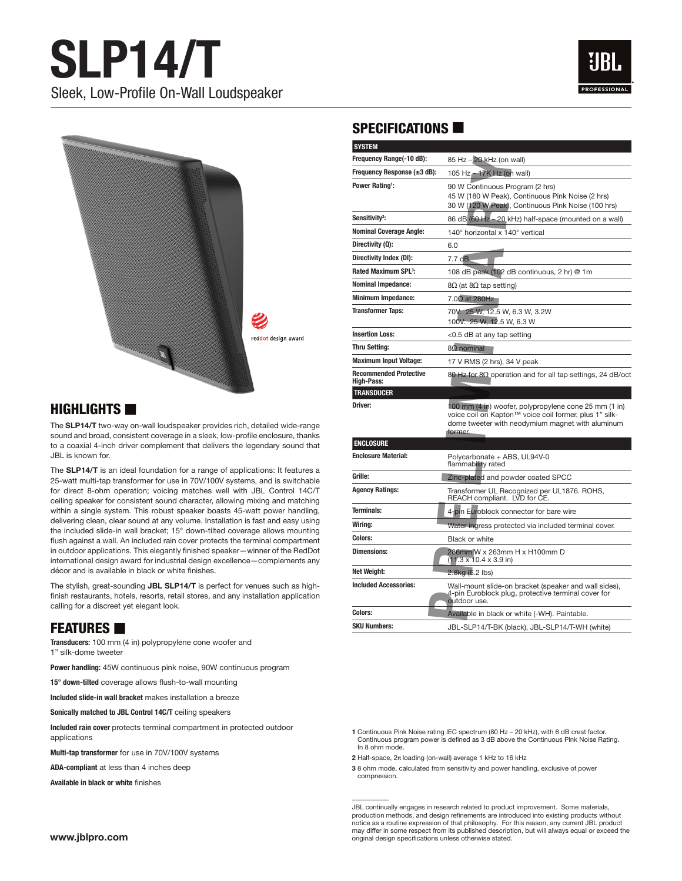



#### $H$ IGHLIGHTS  $\blacksquare$

The **SLP14/T** two-way on-wall loudspeaker provides rich, detailed wide-range sound and broad, consistent coverage in a sleek, low-profile enclosure, thanks to a coaxial 4-inch driver complement that delivers the legendary sound that JBL is known for.

The **SLP14/T** is an ideal foundation for a range of applications: It features a 25-watt multi-tap transformer for use in 70V/100V systems, and is switchable for direct 8-ohm operation; voicing matches well with JBL Control 14C/T ceiling speaker for consistent sound character, allowing mixing and matching within a single system. This robust speaker boasts 45-watt power handling, delivering clean, clear sound at any volume. Installation is fast and easy using the included slide-in wall bracket; 15° down-tilted coverage allows mounting flush against a wall. An included rain cover protects the terminal compartment in outdoor applications. This elegantly finished speaker—winner of the RedDot international design award for industrial design excellence—complements any décor and is available in black or white finishes.

The stylish, great-sounding **JBL SLP14/T** is perfect for venues such as highfinish restaurants, hotels, resorts, retail stores, and any installation application calling for a discreet yet elegant look.

## **FEATURES**

**Transducers:** 100 mm (4 in) polypropylene cone woofer and 1" silk-dome tweeter

**Power handling:** 45W continuous pink noise, 90W continuous program

**15° down-tilted** coverage allows flush-to-wall mounting

**Included slide-in wall bracket** makes installation a breeze

**Sonically matched to JBL Control 14C/T** ceiling speakers

**Included rain cover** protects terminal compartment in protected outdoor applications

**Multi-tap transformer** for use in 70V/100V systems

**ADA-compliant** at less than 4 inches deep

**Available in black or white** finishes

## SPECIFICATIONS  $\blacksquare$

| <b>SYSTEM</b>                                      |                                                                                                                                                                                |
|----------------------------------------------------|--------------------------------------------------------------------------------------------------------------------------------------------------------------------------------|
| Frequency Range(-10 dB):                           | 85 Hz - 20 kHz (on wall)                                                                                                                                                       |
| Frequency Response (±3 dB):                        | 105 Hz - 17K Hz (on wall)                                                                                                                                                      |
| <b>Power Rating!:</b>                              | 90 W Continuous Program (2 hrs)<br>45 W (180 W Peak), Continuous Pink Noise (2 hrs)<br>30 W (120 W Peak), Continuous Pink Noise (100 hrs)                                      |
| Sensitivity <sup>2</sup> :                         | 86 dB (60 Hz - 20 kHz) half-space (mounted on a wall)                                                                                                                          |
| <b>Nominal Coverage Angle:</b>                     | 140° horizontal x 140° vertical                                                                                                                                                |
| Directivity (Q):                                   | 6.0                                                                                                                                                                            |
| Directivity Index (DI):                            | 7.7 <sub>d</sub> B                                                                                                                                                             |
| <b>Rated Maximum SPL3:</b>                         | 108 dB peak (102 dB continuous, 2 hr) @ 1m                                                                                                                                     |
| <b>Nominal Impedance:</b>                          | $8Ω$ (at $8Ω$ tap setting)                                                                                                                                                     |
| <b>Minimum Impedance:</b>                          | $7.0\Omega$ at 280Hz                                                                                                                                                           |
| <b>Transformer Taps:</b>                           | 70V: 25 W, 12.5 W, 6.3 W, 3.2W<br>100V: 25 W, 12.5 W, 6.3 W                                                                                                                    |
| <b>Insertion Loss:</b>                             | <0.5 dB at any tap setting                                                                                                                                                     |
| <b>Thru Setting:</b>                               | $8\Omega$ nominal                                                                                                                                                              |
| <b>Maximum Input Voltage:</b>                      | 17 V RMS (2 hrs), 34 V peak                                                                                                                                                    |
| <b>Recommended Protective</b><br><b>High-Pass:</b> | 80 Hz for $8Ω$ operation and for all tap settings, 24 dB/oct                                                                                                                   |
| <b>TRANSDUCER</b>                                  |                                                                                                                                                                                |
| Driver:                                            | 100 mm (4 in) woofer, polypropylene cone 25 mm (1 in)<br>voice coil on Kapton™ voice coil former, plus 1" silk-<br>dome tweeter with neodymium magnet with aluminum<br>former. |
| <b>ENCLOSURE</b>                                   |                                                                                                                                                                                |
| <b>Enclosure Material:</b>                         | Polycarbonate + ABS, UL94V-0<br>flammability rated                                                                                                                             |
| Grille:                                            | Zinc-plated and powder coated SPCC                                                                                                                                             |
| <b>Agency Ratings:</b>                             | Transformer UL Recognized per UL1876. ROHS,<br>REACH compliant. LVD for CE.                                                                                                    |
| <b>Terminals:</b>                                  | 4-pin Euroblock connector for bare wire                                                                                                                                        |
| Wiring:                                            | Water ingress protected via included terminal cover.                                                                                                                           |
| Colors:                                            | <b>Black or white</b>                                                                                                                                                          |
| <b>Dimensions:</b>                                 | 286mm W x 263mm H x H100mm D<br>$(11.3 \times 10.4 \times 3.9)$ in)                                                                                                            |
| <b>Net Weight:</b>                                 | 2.8kg (6.2 lbs)                                                                                                                                                                |
| <b>Included Accessories:</b>                       | Wall-mount slide-on bracket (speaker and wall sides),<br>4-pin Euroblock plug, protective terminal cover for<br>outdoor use.                                                   |
| Colors:                                            | Available in black or white (-WH). Paintable.                                                                                                                                  |
| <b>SKU Numbers:</b>                                | JBL-SLP14/T-BK (black), JBL-SLP14/T-WH (white)                                                                                                                                 |

**1** Continuous Pink Noise rating IEC spectrum (80 Hz – 20 kHz), with 6 dB crest factor. Continuous program power is defined as 3 dB above the Continuous Pink Noise Rating. In 8 ohm mode.

**2** Half-space, 2π loading (on-wall) average 1 kHz to 16 kHz

\_\_\_\_\_\_\_\_\_\_\_

**3** 8 ohm mode, calculated from sensitivity and power handling, exclusive of power compression.

JBL continually engages in research related to product improvement. Some materials, production methods, and design refinements are introduced into existing products without notice as a routine expression of that philosophy. For this reason, any current JBL product may differ in some respect from its published description, but will always equal or exceed the original design specifications unless otherwise stated.